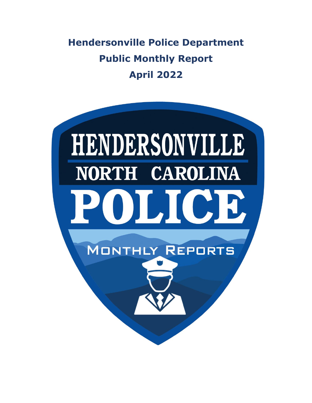**Hendersonville Police Department Public Monthly Report April 2022**

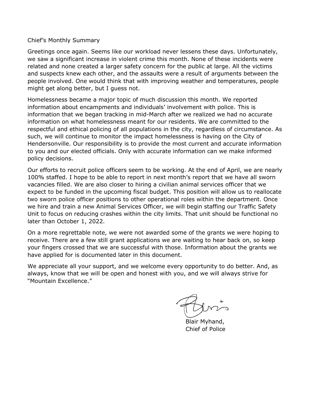Chief's Monthly Summary

Greetings once again. Seems like our workload never lessens these days. Unfortunately, we saw a significant increase in violent crime this month. None of these incidents were related and none created a larger safety concern for the public at large. All the victims and suspects knew each other, and the assaults were a result of arguments between the people involved. One would think that with improving weather and temperatures, people might get along better, but I guess not.

Homelessness became a major topic of much discussion this month. We reported information about encampments and individuals' involvement with police. This is information that we began tracking in mid-March after we realized we had no accurate information on what homelessness meant for our residents. We are committed to the respectful and ethical policing of all populations in the city, regardless of circumstance. As such, we will continue to monitor the impact homelessness is having on the City of Hendersonville. Our responsibility is to provide the most current and accurate information to you and our elected officials. Only with accurate information can we make informed policy decisions.

Our efforts to recruit police officers seem to be working. At the end of April, we are nearly 100% staffed. I hope to be able to report in next month's report that we have all sworn vacancies filled. We are also closer to hiring a civilian animal services officer that we expect to be funded in the upcoming fiscal budget. This position will allow us to reallocate two sworn police officer positions to other operational roles within the department. Once we hire and train a new Animal Services Officer, we will begin staffing our Traffic Safety Unit to focus on reducing crashes within the city limits. That unit should be functional no later than October 1, 2022.

On a more regrettable note, we were not awarded some of the grants we were hoping to receive. There are a few still grant applications we are waiting to hear back on, so keep your fingers crossed that we are successful with those. Information about the grants we have applied for is documented later in this document.

We appreciate all your support, and we welcome every opportunity to do better. And, as always, know that we will be open and honest with you, and we will always strive for "Mountain Excellence."

 Blair Myhand, Chief of Police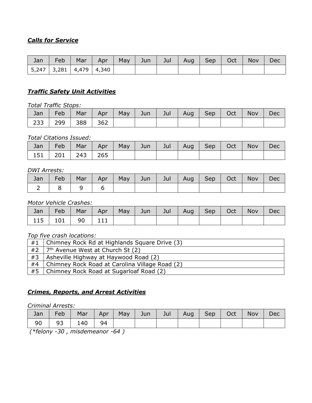# *Calls for Service*

| Jan | Feb                           | Mar | Apr | May | Jun | Jul | Aug Sep | Oct | Nov | Dec |
|-----|-------------------------------|-----|-----|-----|-----|-----|---------|-----|-----|-----|
|     | 5,247   3,281   4,479   4,340 |     |     |     |     |     |         |     |     |     |

### *Traffic Safety Unit Activities*

*Total Traffic Stops:*

| Jan | Feb |             | Mar   Apr   May   Jun |  | Jul   Aug   Sep   Oct |  | Nov N | Dec |
|-----|-----|-------------|-----------------------|--|-----------------------|--|-------|-----|
| 233 |     | 299 388 362 |                       |  |                       |  |       |     |

#### *Total Citations Issued:*

| Jan | Feb                   | Mar | Apr |  | May   Jun   Jul   Aug   Sep   Oct |  | <b>Nov</b> | <b>Dec</b> |
|-----|-----------------------|-----|-----|--|-----------------------------------|--|------------|------------|
|     | 151   201   243   265 |     |     |  |                                   |  |            |            |

#### *DWI Arrests:*

| Jan | Feb | Mar | Apr |  | May   Jun   Jul   Aug   Sep   Oct |  | Nov | Dec |
|-----|-----|-----|-----|--|-----------------------------------|--|-----|-----|
|     |     |     |     |  |                                   |  |     |     |

### *Motor Vehicle Crashes:*

|  |                      |  |  |  | Jan   Feb   Mar   Apr   May   Jun   Jul   Aug   Sep   Oct   Nov   Dec |  |
|--|----------------------|--|--|--|-----------------------------------------------------------------------|--|
|  | 115   101   90   111 |  |  |  |                                                                       |  |

#### *Top five crash locations:*

| #1 | Chimney Rock Rd at Highlands Square Drive (3)  |
|----|------------------------------------------------|
| #2 | 7 <sup>th</sup> Avenue West at Church St (2)   |
| #3 | Asheville Highway at Haywood Road (2)          |
| #4 | Chimney Rock Road at Carolina Village Road (2) |
| #5 | Chimney Rock Road at Sugarloaf Road (2)        |

# *Crimes, Reports, and Arrest Activities*

### *Criminal Arrests:*

| Jan | Feb |               |  | Mar   Apr   May   Jun   Jul   Aug   Sep   Oct |  | <b>Nov</b> | Dec |
|-----|-----|---------------|--|-----------------------------------------------|--|------------|-----|
| 90  |     | 93   140   94 |  |                                               |  |            |     |

*(\*felony -30 , misdemeanor -64 )*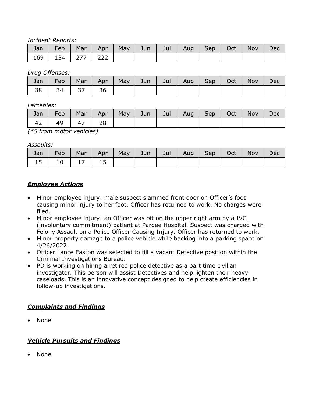*Incident Reports:*

| Jan | Feb | Mar       | Apr <sup>1</sup> | May | Jun $\parallel$ | Jul | Aug | Sep   Oct | <b>Nov</b> | Dec |
|-----|-----|-----------|------------------|-----|-----------------|-----|-----|-----------|------------|-----|
| 169 | 134 | $277$ 222 |                  |     |                 |     |     |           |            |     |

*Drug Offenses:*

| Jan | Feb | Mar | Apr | May | Jun $\rightarrow$ | Jul | Aug | Sep | Oct | Nov | Dec |
|-----|-----|-----|-----|-----|-------------------|-----|-----|-----|-----|-----|-----|
| 38  |     | ر ر | 36  |     |                   |     |     |     |     |     |     |

*Larcenies:*

| Jan | <b>Feb</b> | Mar | Apr <sup>1</sup> | May | Jun/ | Jul | Aug | <b>Sep</b> | Oct | Nov | Dec |
|-----|------------|-----|------------------|-----|------|-----|-----|------------|-----|-----|-----|
| 42  | 49         | 4   | 28               |     |      |     |     |            |     |     |     |

*(\*5 from motor vehicles)*

*Assaults:*

| Jan | Feb | Mar | Apr | May | Jun | Jul | Aug | Sep | Oct | Nov | Dec |
|-----|-----|-----|-----|-----|-----|-----|-----|-----|-----|-----|-----|
| ᅩJ  | ⊥∪  |     | ᅩ   |     |     |     |     |     |     |     |     |

## *Employee Actions*

- Minor employee injury: male suspect slammed front door on Officer's foot causing minor injury to her foot. Officer has returned to work. No charges were filed.
- Minor employee injury: an Officer was bit on the upper right arm by a IVC (involuntary commitment) patient at Pardee Hospital. Suspect was charged with Felony Assault on a Police Officer Causing Injury. Officer has returned to work.
- Minor property damage to a police vehicle while backing into a parking space on 4/26/2022.
- Officer Lance Easton was selected to fill a vacant Detective position within the Criminal Investigations Bureau.
- PD is working on hiring a retired police detective as a part time civilian investigator. This person will assist Detectives and help lighten their heavy caseloads. This is an innovative concept designed to help create efficiencies in follow-up investigations.

### *Complaints and Findings*

• None

## *Vehicle Pursuits and Findings*

• None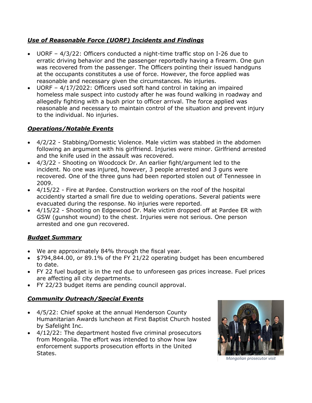# *Use of Reasonable Force (UORF) Incidents and Findings*

- UORF 4/3/22: Officers conducted a night-time traffic stop on I-26 due to erratic driving behavior and the passenger reportedly having a firearm. One gun was recovered from the passenger. The Officers pointing their issued handguns at the occupants constitutes a use of force. However, the force applied was reasonable and necessary given the circumstances. No injuries.
- UORF 4/17/2022: Officers used soft hand control in taking an impaired homeless male suspect into custody after he was found walking in roadway and allegedly fighting with a bush prior to officer arrival. The force applied was reasonable and necessary to maintain control of the situation and prevent injury to the individual. No injuries.

## *Operations/Notable Events*

- 4/2/22 Stabbing/Domestic Violence. Male victim was stabbed in the abdomen following an argument with his girlfriend. Injuries were minor. Girlfriend arrested and the knife used in the assault was recovered.
- 4/3/22 Shooting on Woodcock Dr. An earlier fight/argument led to the incident. No one was injured, however, 3 people arrested and 3 guns were recovered. One of the three guns had been reported stolen out of Tennessee in 2009.
- 4/15/22 Fire at Pardee. Construction workers on the roof of the hospital accidently started a small fire due to welding operations. Several patients were evacuated during the response. No injuries were reported.
- 4/15/22 Shooting on Edgewood Dr. Male victim dropped off at Pardee ER with GSW (gunshot wound) to the chest. Injuries were not serious. One person arrested and one gun recovered.

## *Budget Summary*

- We are approximately 84% through the fiscal year.
- \$794,844.00, or 89.1% of the FY 21/22 operating budget has been encumbered to date.
- FY 22 fuel budget is in the red due to unforeseen gas prices increase. Fuel prices are affecting all city departments.
- FY 22/23 budget items are pending council approval.

# *Community Outreach/Special Events*

- 4/5/22: Chief spoke at the annual Henderson County Humanitarian Awards luncheon at First Baptist Church hosted by Safelight Inc.
- 4/12/22: The department hosted five criminal prosecutors from Mongolia. The effort was intended to show how law enforcement supports prosecution efforts in the United States.



*Mongolian prosecutor visit*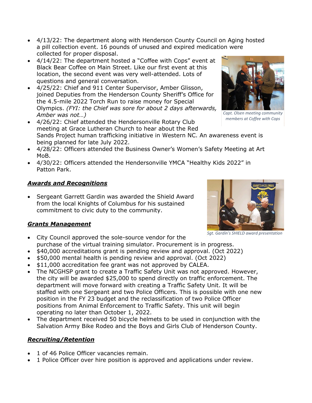- 4/13/22: The department along with Henderson County Council on Aging hosted a pill collection event. 16 pounds of unused and expired medication were collected for proper disposal.
- 4/14/22: The department hosted a "Coffee with Cops" event at Black Bear Coffee on Main Street. Like our first event at this location, the second event was very well-attended. Lots of questions and general conversation.
- 4/25/22: Chief and 911 Center Supervisor, Amber Glisson, joined Deputies from the Henderson County Sheriff's Office for the 4.5-mile 2022 Torch Run to raise money for Special Olympics. *(FYI: the Chief was sore for about 2 days afterwards, Amber was not…)*
- 4/26/22: Chief attended the Hendersonville Rotary Club meeting at Grace Lutheran Church to hear about the Red Sands Project human trafficking initiative in Western NC. An awareness event is being planned for late July 2022. *members at Coffee with Cops*
- 4/28/22: Officers attended the Business Owner's Women's Safety Meeting at Art MoB.
- 4/30/22: Officers attended the Hendersonville YMCA "Healthy Kids 2022" in Patton Park.

# *Awards and Recognitions*

• Sergeant Garrett Gardin was awarded the Shield Award from the local Knights of Columbus for his sustained commitment to civic duty to the community.

# *Grants Management*

- City Council approved the sole-source vendor for the purchase of the virtual training simulator. Procurement is in progress.
- \$40,000 accreditations grant is pending review and approval. (Oct 2022)
- \$50,000 mental health is pending review and approval. (Oct 2022)
- \$11,000 accreditation fee grant was not approved by CALEA.
- The NCGHSP grant to create a Traffic Safety Unit was not approved. However, the city will be awarded \$25,000 to spend directly on traffic enforcement. The department will move forward with creating a Traffic Safety Unit. It will be staffed with one Sergeant and two Police Officers. This is possible with one new position in the FY 23 budget and the reclassification of two Police Officer positions from Animal Enforcement to Traffic Safety. This unit will begin operating no later than October 1, 2022.
- The department received 50 bicycle helmets to be used in conjunction with the Salvation Army Bike Rodeo and the Boys and Girls Club of Henderson County.

# *Recruiting/Retention*

- 1 of 46 Police Officer vacancies remain.
- 1 Police Officer over hire position is approved and applications under review.

*Capt. Olsen meeting community* 



*Sgt. Gardin's SHIELD award presentation*